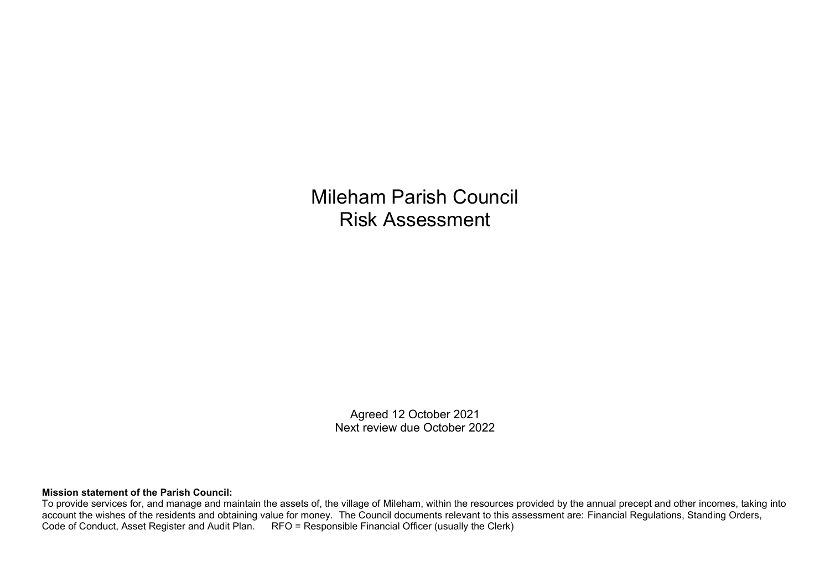Mileham Parish Council Risk Assessment

> Agreed 12 October 2021 Next review due October 2022

## **Mission statement of the Parish Council:**

To provide services for, and manage and maintain the assets of, the village of Mileham, within the resources provided by the annual precept and other incomes, taking into account the wishes of the residents and obtaining value for money. The Council documents relevant to this assessment are: Financial Regulations, Standing Orders, Code of Conduct, Asset Register and Audit Plan. RFO = Responsible Financial Officer (usually the Clerk)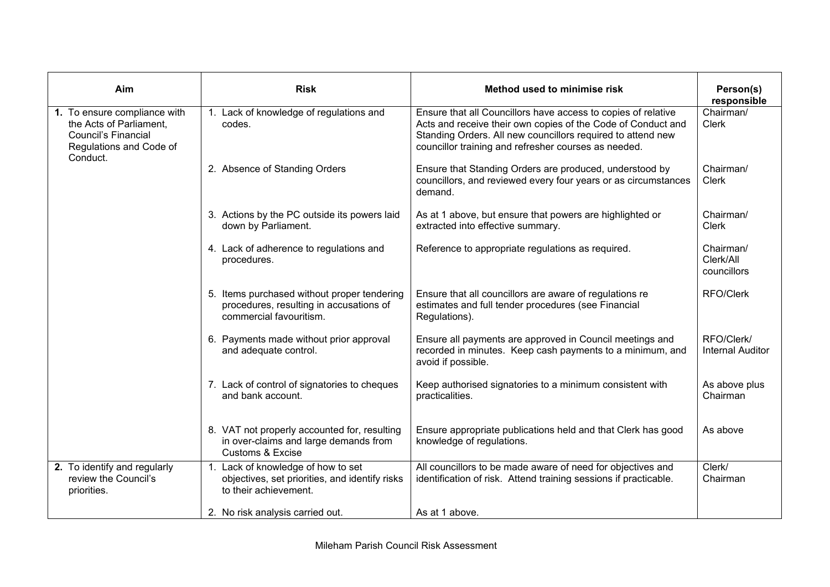| Aim                                                                                                                          | <b>Risk</b>                                                                                                          | Method used to minimise risk                                                                                                                                                                                                                         | Person(s)<br>responsible              |
|------------------------------------------------------------------------------------------------------------------------------|----------------------------------------------------------------------------------------------------------------------|------------------------------------------------------------------------------------------------------------------------------------------------------------------------------------------------------------------------------------------------------|---------------------------------------|
| 1. To ensure compliance with<br>the Acts of Parliament,<br><b>Council's Financial</b><br>Regulations and Code of<br>Conduct. | 1. Lack of knowledge of regulations and<br>codes.                                                                    | Ensure that all Councillors have access to copies of relative<br>Acts and receive their own copies of the Code of Conduct and<br>Standing Orders. All new councillors required to attend new<br>councillor training and refresher courses as needed. | Chairman/<br><b>Clerk</b>             |
|                                                                                                                              | 2. Absence of Standing Orders                                                                                        | Ensure that Standing Orders are produced, understood by<br>councillors, and reviewed every four years or as circumstances<br>demand.                                                                                                                 | Chairman/<br><b>Clerk</b>             |
|                                                                                                                              | 3. Actions by the PC outside its powers laid<br>down by Parliament.                                                  | As at 1 above, but ensure that powers are highlighted or<br>extracted into effective summary.                                                                                                                                                        | Chairman/<br><b>Clerk</b>             |
|                                                                                                                              | 4. Lack of adherence to regulations and<br>procedures.                                                               | Reference to appropriate regulations as required.                                                                                                                                                                                                    | Chairman/<br>Clerk/All<br>councillors |
|                                                                                                                              | 5. Items purchased without proper tendering<br>procedures, resulting in accusations of<br>commercial favouritism.    | Ensure that all councillors are aware of regulations re<br>estimates and full tender procedures (see Financial<br>Regulations).                                                                                                                      | RFO/Clerk                             |
|                                                                                                                              | 6. Payments made without prior approval<br>and adequate control.                                                     | Ensure all payments are approved in Council meetings and<br>recorded in minutes. Keep cash payments to a minimum, and<br>avoid if possible.                                                                                                          | RFO/Clerk/<br><b>Internal Auditor</b> |
|                                                                                                                              | 7. Lack of control of signatories to cheques<br>and bank account.                                                    | Keep authorised signatories to a minimum consistent with<br>practicalities.                                                                                                                                                                          | As above plus<br>Chairman             |
|                                                                                                                              | 8. VAT not properly accounted for, resulting<br>in over-claims and large demands from<br><b>Customs &amp; Excise</b> | Ensure appropriate publications held and that Clerk has good<br>knowledge of regulations.                                                                                                                                                            | As above                              |
| 2. To identify and regularly<br>review the Council's<br>priorities.                                                          | 1. Lack of knowledge of how to set<br>objectives, set priorities, and identify risks<br>to their achievement.        | All councillors to be made aware of need for objectives and<br>identification of risk. Attend training sessions if practicable.                                                                                                                      | Clerk/<br>Chairman                    |
|                                                                                                                              | 2. No risk analysis carried out.                                                                                     | As at 1 above.                                                                                                                                                                                                                                       |                                       |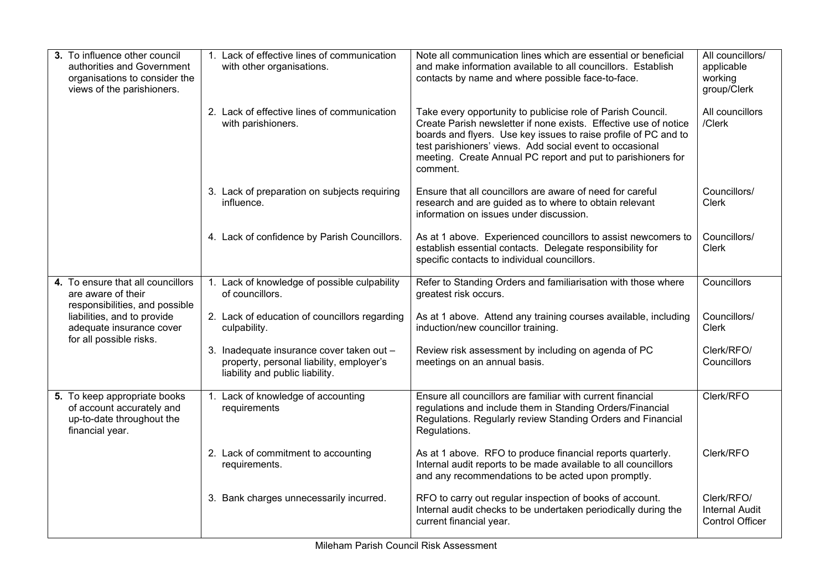| 3. To influence other council<br>authorities and Government<br>organisations to consider the<br>views of the parishioners.                                                      | 1. Lack of effective lines of communication<br>with other organisations.                                                 | Note all communication lines which are essential or beneficial<br>and make information available to all councillors. Establish<br>contacts by name and where possible face-to-face.                                                                                                                                                        | All councillors/<br>applicable<br>working<br>group/Clerk      |
|---------------------------------------------------------------------------------------------------------------------------------------------------------------------------------|--------------------------------------------------------------------------------------------------------------------------|--------------------------------------------------------------------------------------------------------------------------------------------------------------------------------------------------------------------------------------------------------------------------------------------------------------------------------------------|---------------------------------------------------------------|
|                                                                                                                                                                                 | 2. Lack of effective lines of communication<br>with parishioners.                                                        | Take every opportunity to publicise role of Parish Council.<br>Create Parish newsletter if none exists. Effective use of notice<br>boards and flyers. Use key issues to raise profile of PC and to<br>test parishioners' views. Add social event to occasional<br>meeting. Create Annual PC report and put to parishioners for<br>comment. | All councillors<br>/Clerk                                     |
|                                                                                                                                                                                 | 3. Lack of preparation on subjects requiring<br>influence.                                                               | Ensure that all councillors are aware of need for careful<br>research and are guided as to where to obtain relevant<br>information on issues under discussion.                                                                                                                                                                             | Councillors/<br><b>Clerk</b>                                  |
|                                                                                                                                                                                 | 4. Lack of confidence by Parish Councillors.                                                                             | As at 1 above. Experienced councillors to assist newcomers to<br>establish essential contacts. Delegate responsibility for<br>specific contacts to individual councillors.                                                                                                                                                                 | Councillors/<br><b>Clerk</b>                                  |
| 4. To ensure that all councillors<br>are aware of their<br>responsibilities, and possible<br>liabilities, and to provide<br>adequate insurance cover<br>for all possible risks. | 1. Lack of knowledge of possible culpability<br>of councillors.                                                          | Refer to Standing Orders and familiarisation with those where<br>greatest risk occurs.                                                                                                                                                                                                                                                     | Councillors                                                   |
|                                                                                                                                                                                 | 2. Lack of education of councillors regarding<br>culpability.                                                            | As at 1 above. Attend any training courses available, including<br>induction/new councillor training.                                                                                                                                                                                                                                      | Councillors/<br><b>Clerk</b>                                  |
|                                                                                                                                                                                 | 3. Inadequate insurance cover taken out -<br>property, personal liability, employer's<br>liability and public liability. | Review risk assessment by including on agenda of PC<br>meetings on an annual basis.                                                                                                                                                                                                                                                        | Clerk/RFO/<br>Councillors                                     |
| 5. To keep appropriate books<br>of account accurately and<br>up-to-date throughout the<br>financial year.                                                                       | 1. Lack of knowledge of accounting<br>requirements                                                                       | Ensure all councillors are familiar with current financial<br>regulations and include them in Standing Orders/Financial<br>Regulations. Regularly review Standing Orders and Financial<br>Regulations.                                                                                                                                     | Clerk/RFO                                                     |
|                                                                                                                                                                                 | 2. Lack of commitment to accounting<br>requirements.                                                                     | As at 1 above. RFO to produce financial reports quarterly.<br>Internal audit reports to be made available to all councillors<br>and any recommendations to be acted upon promptly.                                                                                                                                                         | Clerk/RFO                                                     |
|                                                                                                                                                                                 | 3. Bank charges unnecessarily incurred.                                                                                  | RFO to carry out regular inspection of books of account.<br>Internal audit checks to be undertaken periodically during the<br>current financial year.                                                                                                                                                                                      | Clerk/RFO/<br><b>Internal Audit</b><br><b>Control Officer</b> |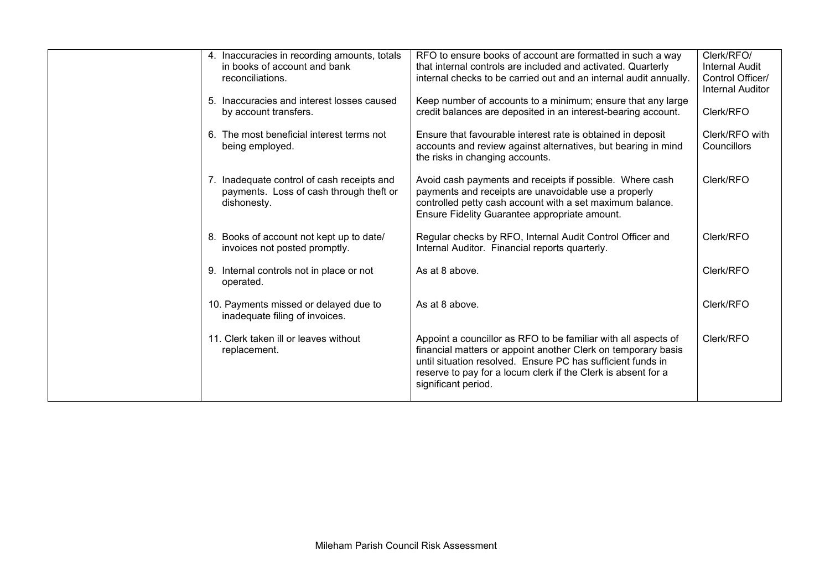| 4. Inaccuracies in recording amounts, totals<br>in books of account and bank<br>reconciliations.<br>5. Inaccuracies and interest losses caused<br>by account transfers. | RFO to ensure books of account are formatted in such a way<br>that internal controls are included and activated. Quarterly<br>internal checks to be carried out and an internal audit annually.<br>Keep number of accounts to a minimum; ensure that any large<br>credit balances are deposited in an interest-bearing account. | Clerk/RFO/<br>Internal Audit<br>Control Officer/<br><b>Internal Auditor</b><br>Clerk/RFO |
|-------------------------------------------------------------------------------------------------------------------------------------------------------------------------|---------------------------------------------------------------------------------------------------------------------------------------------------------------------------------------------------------------------------------------------------------------------------------------------------------------------------------|------------------------------------------------------------------------------------------|
| 6. The most beneficial interest terms not<br>being employed.                                                                                                            | Ensure that favourable interest rate is obtained in deposit<br>accounts and review against alternatives, but bearing in mind<br>the risks in changing accounts.                                                                                                                                                                 | Clerk/RFO with<br>Councillors                                                            |
| 7. Inadequate control of cash receipts and<br>payments. Loss of cash through theft or<br>dishonesty.                                                                    | Avoid cash payments and receipts if possible. Where cash<br>payments and receipts are unavoidable use a properly<br>controlled petty cash account with a set maximum balance.<br>Ensure Fidelity Guarantee appropriate amount.                                                                                                  | Clerk/RFO                                                                                |
| 8. Books of account not kept up to date/<br>invoices not posted promptly.                                                                                               | Regular checks by RFO, Internal Audit Control Officer and<br>Internal Auditor. Financial reports quarterly.                                                                                                                                                                                                                     | Clerk/RFO                                                                                |
| 9. Internal controls not in place or not<br>operated.                                                                                                                   | As at 8 above.                                                                                                                                                                                                                                                                                                                  | Clerk/RFO                                                                                |
| 10. Payments missed or delayed due to<br>inadequate filing of invoices.                                                                                                 | As at 8 above.                                                                                                                                                                                                                                                                                                                  | Clerk/RFO                                                                                |
| 11. Clerk taken ill or leaves without<br>replacement.                                                                                                                   | Appoint a councillor as RFO to be familiar with all aspects of<br>financial matters or appoint another Clerk on temporary basis<br>until situation resolved. Ensure PC has sufficient funds in<br>reserve to pay for a locum clerk if the Clerk is absent for a<br>significant period.                                          | Clerk/RFO                                                                                |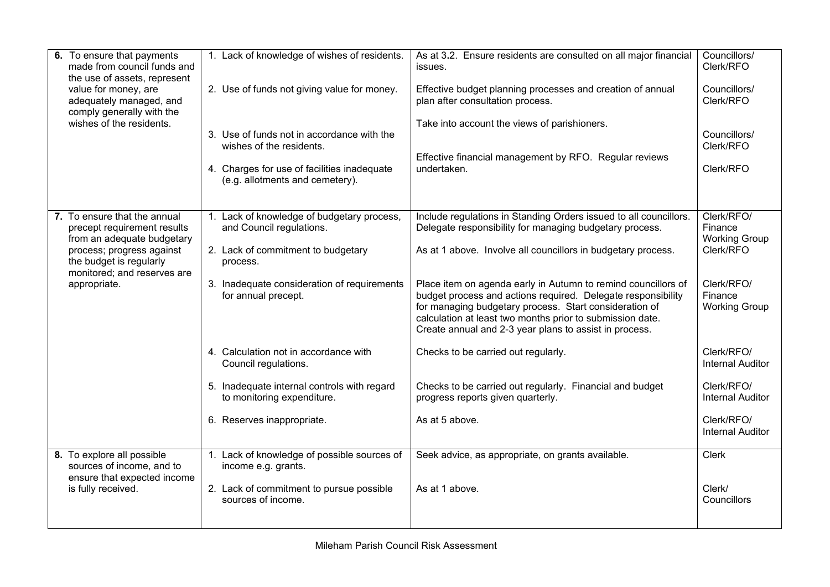| 6. To ensure that payments<br>made from council funds and<br>the use of assets, represent<br>value for money, are<br>adequately managed, and<br>comply generally with the<br>wishes of the residents. | 1. Lack of knowledge of wishes of residents.<br>2. Use of funds not giving value for money.<br>3. Use of funds not in accordance with the<br>wishes of the residents.<br>4. Charges for use of facilities inadequate<br>(e.g. allotments and cemetery). | As at 3.2. Ensure residents are consulted on all major financial<br>issues.<br>Effective budget planning processes and creation of annual<br>plan after consultation process.<br>Take into account the views of parishioners.<br>Effective financial management by RFO. Regular reviews<br>undertaken.                                                                                                                                                                                                         | Councillors/<br>Clerk/RFO<br>Councillors/<br>Clerk/RFO<br>Councillors/<br>Clerk/RFO<br>Clerk/RFO            |
|-------------------------------------------------------------------------------------------------------------------------------------------------------------------------------------------------------|---------------------------------------------------------------------------------------------------------------------------------------------------------------------------------------------------------------------------------------------------------|----------------------------------------------------------------------------------------------------------------------------------------------------------------------------------------------------------------------------------------------------------------------------------------------------------------------------------------------------------------------------------------------------------------------------------------------------------------------------------------------------------------|-------------------------------------------------------------------------------------------------------------|
| 7. To ensure that the annual<br>precept requirement results<br>from an adequate budgetary<br>process; progress against<br>the budget is regularly<br>monitored; and reserves are<br>appropriate.      | 1. Lack of knowledge of budgetary process,<br>and Council regulations.<br>2. Lack of commitment to budgetary<br>process.<br>3. Inadequate consideration of requirements<br>for annual precept.                                                          | Include regulations in Standing Orders issued to all councillors.<br>Delegate responsibility for managing budgetary process.<br>As at 1 above. Involve all councillors in budgetary process.<br>Place item on agenda early in Autumn to remind councillors of<br>budget process and actions required. Delegate responsibility<br>for managing budgetary process. Start consideration of<br>calculation at least two months prior to submission date.<br>Create annual and 2-3 year plans to assist in process. | Clerk/RFO/<br>Finance<br><b>Working Group</b><br>Clerk/RFO<br>Clerk/RFO/<br>Finance<br><b>Working Group</b> |
|                                                                                                                                                                                                       | 4. Calculation not in accordance with<br>Council regulations.                                                                                                                                                                                           | Checks to be carried out regularly.                                                                                                                                                                                                                                                                                                                                                                                                                                                                            | Clerk/RFO/<br><b>Internal Auditor</b>                                                                       |
|                                                                                                                                                                                                       | 5. Inadequate internal controls with regard<br>to monitoring expenditure.                                                                                                                                                                               | Checks to be carried out regularly. Financial and budget<br>progress reports given quarterly.                                                                                                                                                                                                                                                                                                                                                                                                                  | Clerk/RFO/<br><b>Internal Auditor</b>                                                                       |
|                                                                                                                                                                                                       | 6. Reserves inappropriate.                                                                                                                                                                                                                              | As at 5 above.                                                                                                                                                                                                                                                                                                                                                                                                                                                                                                 | Clerk/RFO/<br><b>Internal Auditor</b>                                                                       |
| 8. To explore all possible<br>sources of income, and to<br>ensure that expected income<br>is fully received.                                                                                          | 1. Lack of knowledge of possible sources of<br>income e.g. grants.                                                                                                                                                                                      | Seek advice, as appropriate, on grants available.                                                                                                                                                                                                                                                                                                                                                                                                                                                              | <b>Clerk</b>                                                                                                |
|                                                                                                                                                                                                       | 2. Lack of commitment to pursue possible<br>sources of income.                                                                                                                                                                                          | As at 1 above.                                                                                                                                                                                                                                                                                                                                                                                                                                                                                                 | Clerk/<br>Councillors                                                                                       |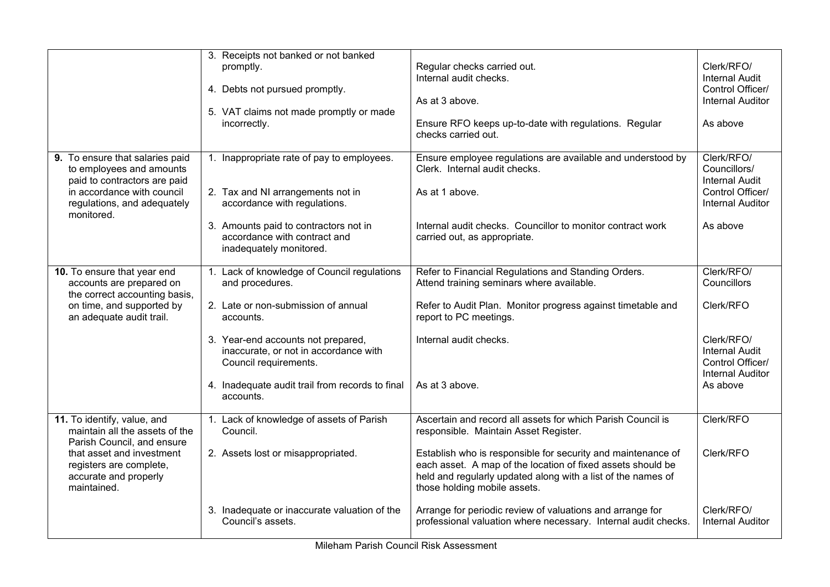|                                                                                                                                                                                             | 3. Receipts not banked or not banked                                                                 |                                                                                                                                                                                                                             |                                                                                    |
|---------------------------------------------------------------------------------------------------------------------------------------------------------------------------------------------|------------------------------------------------------------------------------------------------------|-----------------------------------------------------------------------------------------------------------------------------------------------------------------------------------------------------------------------------|------------------------------------------------------------------------------------|
|                                                                                                                                                                                             | promptly.<br>4. Debts not pursued promptly.<br>5. VAT claims not made promptly or made               | Regular checks carried out.<br>Internal audit checks.<br>As at 3 above.                                                                                                                                                     | Clerk/RFO/<br><b>Internal Audit</b><br>Control Officer/<br><b>Internal Auditor</b> |
|                                                                                                                                                                                             | incorrectly.                                                                                         | Ensure RFO keeps up-to-date with regulations. Regular<br>checks carried out.                                                                                                                                                | As above                                                                           |
| 9. To ensure that salaries paid<br>to employees and amounts<br>paid to contractors are paid                                                                                                 | 1. Inappropriate rate of pay to employees.                                                           | Ensure employee regulations are available and understood by<br>Clerk. Internal audit checks.                                                                                                                                | Clerk/RFO/<br>Councillors/<br><b>Internal Audit</b>                                |
| in accordance with council<br>regulations, and adequately<br>monitored.                                                                                                                     | 2. Tax and NI arrangements not in<br>accordance with regulations.                                    | As at 1 above.                                                                                                                                                                                                              | Control Officer/<br><b>Internal Auditor</b>                                        |
|                                                                                                                                                                                             | 3. Amounts paid to contractors not in<br>accordance with contract and<br>inadequately monitored.     | Internal audit checks. Councillor to monitor contract work<br>carried out, as appropriate.                                                                                                                                  | As above                                                                           |
| 10. To ensure that year end<br>accounts are prepared on<br>the correct accounting basis,<br>on time, and supported by<br>an adequate audit trail.                                           | 1. Lack of knowledge of Council regulations<br>and procedures.                                       | Refer to Financial Regulations and Standing Orders.<br>Attend training seminars where available.                                                                                                                            | Clerk/RFO/<br>Councillors                                                          |
|                                                                                                                                                                                             | 2. Late or non-submission of annual<br>accounts.                                                     | Refer to Audit Plan. Monitor progress against timetable and<br>report to PC meetings.                                                                                                                                       | Clerk/RFO                                                                          |
|                                                                                                                                                                                             | 3. Year-end accounts not prepared,<br>inaccurate, or not in accordance with<br>Council requirements. | Internal audit checks.                                                                                                                                                                                                      | Clerk/RFO/<br><b>Internal Audit</b><br>Control Officer/<br><b>Internal Auditor</b> |
|                                                                                                                                                                                             | 4. Inadequate audit trail from records to final<br>accounts.                                         | As at 3 above.                                                                                                                                                                                                              | As above                                                                           |
| 11. To identify, value, and<br>maintain all the assets of the<br>Parish Council, and ensure<br>that asset and investment<br>registers are complete,<br>accurate and properly<br>maintained. | 1. Lack of knowledge of assets of Parish<br>Council.                                                 | Ascertain and record all assets for which Parish Council is<br>responsible. Maintain Asset Register.                                                                                                                        | Clerk/RFO                                                                          |
|                                                                                                                                                                                             | 2. Assets lost or misappropriated.                                                                   | Establish who is responsible for security and maintenance of<br>each asset. A map of the location of fixed assets should be<br>held and regularly updated along with a list of the names of<br>those holding mobile assets. | Clerk/RFO                                                                          |
|                                                                                                                                                                                             | 3. Inadequate or inaccurate valuation of the<br>Council's assets.                                    | Arrange for periodic review of valuations and arrange for<br>professional valuation where necessary. Internal audit checks.                                                                                                 | Clerk/RFO/<br><b>Internal Auditor</b>                                              |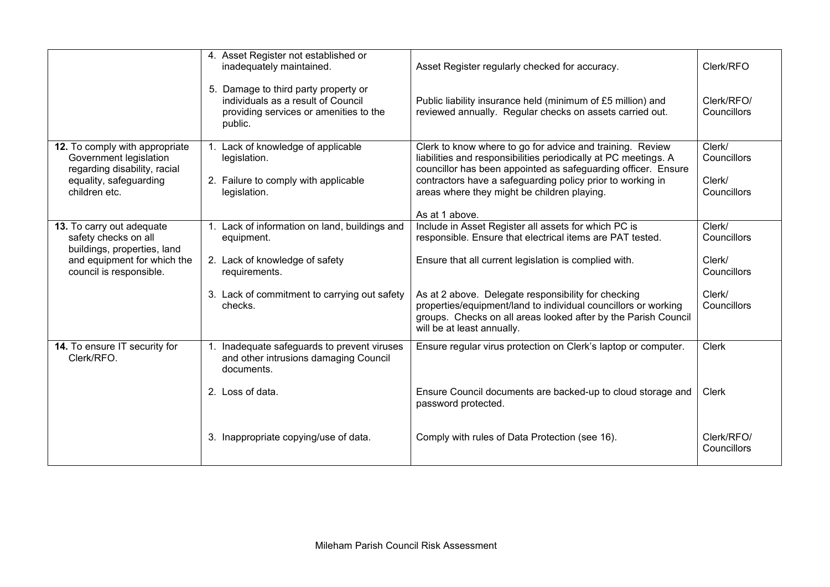|                                                                                                                                            | 4. Asset Register not established or<br>inadequately maintained.                                                                | Asset Register regularly checked for accuracy.                                                                                                                                                                        | Clerk/RFO                 |
|--------------------------------------------------------------------------------------------------------------------------------------------|---------------------------------------------------------------------------------------------------------------------------------|-----------------------------------------------------------------------------------------------------------------------------------------------------------------------------------------------------------------------|---------------------------|
|                                                                                                                                            | 5. Damage to third party property or<br>individuals as a result of Council<br>providing services or amenities to the<br>public. | Public liability insurance held (minimum of £5 million) and<br>reviewed annually. Regular checks on assets carried out.                                                                                               | Clerk/RFO/<br>Councillors |
| 12. To comply with appropriate<br>Government legislation<br>regarding disability, racial                                                   | 1. Lack of knowledge of applicable<br>legislation.                                                                              | Clerk to know where to go for advice and training. Review<br>liabilities and responsibilities periodically at PC meetings. A<br>councillor has been appointed as safeguarding officer. Ensure                         | Clerk/<br>Councillors     |
| equality, safeguarding<br>children etc.                                                                                                    | 2. Failure to comply with applicable<br>legislation.                                                                            | contractors have a safeguarding policy prior to working in<br>areas where they might be children playing.                                                                                                             | Clerk/<br>Councillors     |
|                                                                                                                                            |                                                                                                                                 | As at 1 above.                                                                                                                                                                                                        |                           |
| 13. To carry out adequate<br>safety checks on all<br>buildings, properties, land<br>and equipment for which the<br>council is responsible. | 1. Lack of information on land, buildings and<br>equipment.                                                                     | Include in Asset Register all assets for which PC is<br>responsible. Ensure that electrical items are PAT tested.                                                                                                     | Clerk/<br>Councillors     |
|                                                                                                                                            | 2. Lack of knowledge of safety<br>requirements.                                                                                 | Ensure that all current legislation is complied with.                                                                                                                                                                 | Clerk/<br>Councillors     |
|                                                                                                                                            | 3. Lack of commitment to carrying out safety<br>checks.                                                                         | As at 2 above. Delegate responsibility for checking<br>properties/equipment/land to individual councillors or working<br>groups. Checks on all areas looked after by the Parish Council<br>will be at least annually. | Clerk/<br>Councillors     |
| 14. To ensure IT security for<br>Clerk/RFO.                                                                                                | 1. Inadequate safeguards to prevent viruses<br>and other intrusions damaging Council<br>documents.                              | Ensure regular virus protection on Clerk's laptop or computer.                                                                                                                                                        | <b>Clerk</b>              |
|                                                                                                                                            | 2. Loss of data.                                                                                                                | Ensure Council documents are backed-up to cloud storage and<br>password protected.                                                                                                                                    | <b>Clerk</b>              |
|                                                                                                                                            | 3. Inappropriate copying/use of data.                                                                                           | Comply with rules of Data Protection (see 16).                                                                                                                                                                        | Clerk/RFO/<br>Councillors |